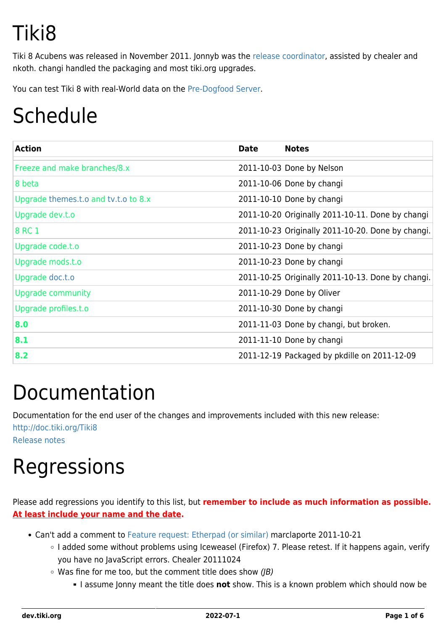# Tiki8

Tiki 8 Acubens was released in November 2011. Jonnyb was the [release coordinator,](http://tiki.org/release%20coordinator) assisted by chealer and nkoth. changi handled the packaging and most tiki.org upgrades.

You can test Tiki 8 with real-World data on the [Pre-Dogfood Server.](http://tiki.org/Pre-Dogfood%20Server)

# Schedule

| <b>Action</b>                        | <b>Date</b> | <b>Notes</b>                                      |
|--------------------------------------|-------------|---------------------------------------------------|
| Freeze and make branches/8.x         |             | 2011-10-03 Done by Nelson                         |
| 8 beta                               |             | 2011-10-06 Done by changi                         |
| Upgrade themes.t.o and tv.t.o to 8.x |             | 2011-10-10 Done by changi                         |
| Upgrade dev.t.o                      |             | 2011-10-20 Originally 2011-10-11. Done by changi  |
| 8 RC 1                               |             | 2011-10-23 Originally 2011-10-20. Done by changi. |
| Upgrade code.t.o                     |             | 2011-10-23 Done by changi                         |
| Upgrade mods.t.o                     |             | 2011-10-23 Done by changi                         |
| Upgrade doc.t.o                      |             | 2011-10-25 Originally 2011-10-13. Done by changi. |
| <b>Upgrade community</b>             |             | 2011-10-29 Done by Oliver                         |
| Upgrade profiles.t.o                 |             | 2011-10-30 Done by changi                         |
| 8.0                                  |             | 2011-11-03 Done by changi, but broken.            |
| 8.1                                  |             | 2011-11-10 Done by changi                         |
| 8.2                                  |             | 2011-12-19 Packaged by pkdille on 2011-12-09      |

#### Documentation

Documentation for the end user of the changes and improvements included with this new release:

<http://doc.tiki.org/Tiki8> [Release notes](http://tiki.org/ReleaseNotes8)

# Regressions

Please add regressions you identify to this list, but **remember to include as much information as possible. At least include your name and the date.**

- Can't add a comment to [Feature request: Etherpad \(or similar\)](https://dev.tiki.org/wish3969) marclaporte 2011-10-21
	- I added some without problems using Iceweasel (Firefox) 7. Please retest. If it happens again, verify you have no JavaScript errors. Chealer 20111024
	- $\circ$  Was fine for me too, but the comment title does show (JB)
		- I assume Jonny meant the title does **not** show. This is a known problem which should now be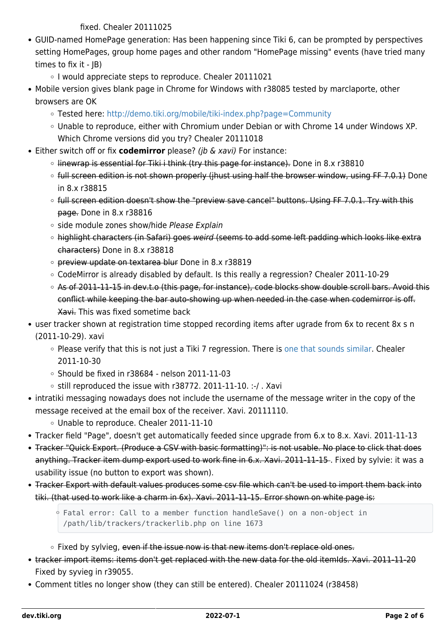fixed. Chealer 20111025

- GUID-named HomePage generation: Has been happening since Tiki 6, can be prompted by perspectives setting HomePages, group home pages and other random "HomePage missing" events (have tried many times to fix it - JB)
	- o I would appreciate steps to reproduce. Chealer 20111021
- Mobile version gives blank page in Chrome for Windows with r38085 tested by marclaporte, other browsers are OK
	- Tested here: <http://demo.tiki.org/mobile/tiki-index.php?page=Community>
	- Unable to reproduce, either with Chromium under Debian or with Chrome 14 under Windows XP. Which Chrome versions did you try? Chealer 20111018
- Either switch off or fix **codemirror** please? (jb & xavi) For instance:
	- $\circ$  linewrap is essential for Tiki i think (try this page for instance). Done in 8.x r38810
	- o full screen edition is not shown properly (jhust using half the browser window, using FF 7.0.1) Done in 8.x r38815
	- o full screen edition doesn't show the "preview save cancel" buttons. Using FF 7.0.1. Try with this page. Done in 8.x r38816
	- o side module zones show/hide Please Explain
	- o highlight characters (in Safari) goes weird (seems to add some left padding which looks like extra characters) Done in 8.x r38818
	- o preview update on textarea blur Done in 8.x r38819
	- CodeMirror is already disabled by default. Is this really a regression? Chealer 2011-10-29
	- o As of 2011-11-15 in dev.t.o (this page, for instance), code blocks show double scroll bars. Avoid this conflict while keeping the bar auto-showing up when needed in the case when codemirror is off. Xavi. This was fixed sometime back
- user tracker shown at registration time stopped recording items after ugrade from 6x to recent 8x s n (2011-10-29). xavi
	- Please verify that this is not just a Tiki 7 regression. There is [one that sounds similar](https://dev.tiki.org/Tiki7#Blockers). Chealer 2011-10-30
	- $\circ$  Should be fixed in r38684 nelson 2011-11-03
	- $\circ$  still reproduced the issue with r38772. 2011-11-10. :-/. Xavi
- intratiki messaging nowadays does not include the username of the message writer in the copy of the message received at the email box of the receiver. Xavi. 20111110.
	- Unable to reproduce. Chealer 2011-11-10
- Tracker field "Page", doesn't get automatically feeded since upgrade from 6.x to 8.x. Xavi. 2011-11-13
- Tracker "Quick Export. (Produce a CSV with basic formatting)": is not usable. No place to click that does anything. Tracker item dump export used to work fine in 6.x. Xavi. 2011-11-15. Fixed by sylvie: it was a usability issue (no button to export was shown).
- Tracker Export with default values produces some csv file which can't be used to import them back into tiki. (that used to work like a charm in 6x). Xavi. 2011-11-15. Error shown on white page is:

Fatal error: Call to a member function handleSave() on a non-object in /path/lib/trackers/trackerlib.php on line 1673

- $\circ$  Fixed by sylvieg, even if the issue now is that new items don't replace old ones.
- tracker import items: items don't get replaced with the new data for the old itemIds. Xavi. 2011-11-20 Fixed by syvieg in r39055.
- Comment titles no longer show (they can still be entered). Chealer 20111024 (r38458)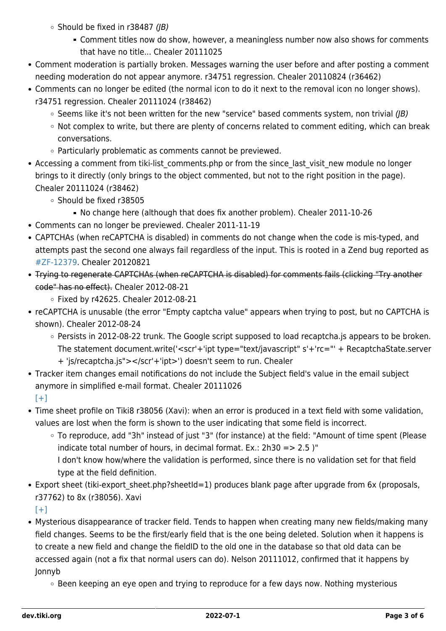- $\circ$  Should be fixed in r38487 (JB)
	- Comment titles now do show, however, a meaningless number now also shows for comments that have no title... Chealer 20111025
- Comment moderation is partially broken. Messages warning the user before and after posting a comment needing moderation do not appear anymore. r34751 regression. Chealer 20110824 (r36462)
- Comments can no longer be edited (the normal icon to do it next to the removal icon no longer shows). r34751 regression. Chealer 20111024 (r38462)
	- $\circ$  Seems like it's not been written for the new "service" based comments system, non trivial (*JB*)
	- Not complex to write, but there are plenty of concerns related to comment editing, which can break conversations.
	- Particularly problematic as comments cannot be previewed.
- Accessing a comment from tiki-list comments.php or from the since last visit new module no longer brings to it directly (only brings to the object commented, but not to the right position in the page). Chealer 20111024 (r38462)
	- Should be fixed r38505
		- No change here (although that does fix another problem). Chealer 2011-10-26
- Comments can no longer be previewed. Chealer 2011-11-19
- CAPTCHAs (when reCAPTCHA is disabled) in comments do not change when the code is mis-typed, and attempts past the second one always fail regardless of the input. This is rooted in a Zend bug reported as [#ZF-12379.](http://framework.zend.com/issues/browse/ZF-12379) Chealer 20120821
- Trying to regenerate CAPTCHAs (when reCAPTCHA is disabled) for comments fails (clicking "Try another code" has no effect). Chealer 2012-08-21
	- Fixed by r42625. Chealer 2012-08-21
- reCAPTCHA is unusable (the error "Empty captcha value" appears when trying to post, but no CAPTCHA is shown). Chealer 2012-08-24
	- Persists in 2012-08-22 trunk. The Google script supposed to load recaptcha.js appears to be broken. The statement document.write('<scr'+'ipt type="text/javascript" s'+'rc="' + RecaptchaState.server + 'js/recaptcha.js"></scr'+'ipt>') doesn't seem to run. Chealer
- Tracker item changes email notifications do not include the Subject field's value in the email subject anymore in simplified e-mail format. Chealer 20111026
	- $[+]$
- Time sheet profile on Tiki8 r38056 (Xavi): when an error is produced in a text field with some validation, values are lost when the form is shown to the user indicating that some field is incorrect.
	- To reproduce, add "3h" instead of just "3" (for instance) at the field: "Amount of time spent (Please indicate total number of hours, in decimal format. Ex.:  $2h30 = > 2.5$  )"
		- I don't know how/where the validation is performed, since there is no validation set for that field type at the field definition.
- Export sheet (tiki-export sheet.php?sheetId=1) produces blank page after upgrade from 6x (proposals, r37762) to 8x (r38056). Xavi
	- $[+]$
- Mysterious disappearance of tracker field. Tends to happen when creating many new fields/making many field changes. Seems to be the first/early field that is the one being deleted. Solution when it happens is to create a new field and change the fieldID to the old one in the database so that old data can be accessed again (not a fix that normal users can do). Nelson 20111012, confirmed that it happens by Jonnyb
	- Been keeping an eye open and trying to reproduce for a few days now. Nothing mysterious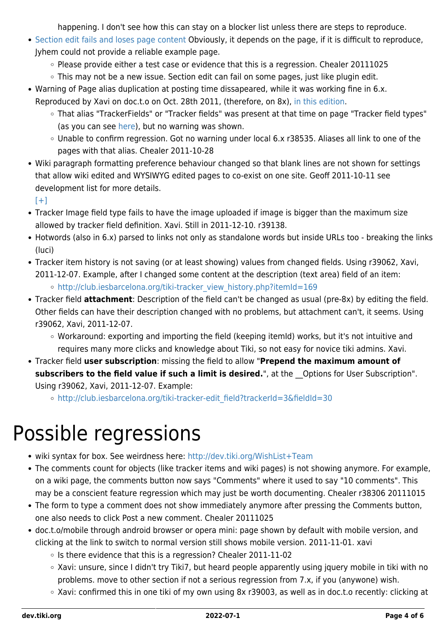happening. I don't see how this can stay on a blocker list unless there are steps to reproduce.

- [Section edit fails and loses page content](http://dev.tiki.org/tiki-view_tracker_item.php?trackerId=5&itemId=4002) Obviously, it depends on the page, if it is difficult to reproduce, Jyhem could not provide a reliable example page.
	- $\circ$  Please provide either a test case or evidence that this is a regression. Chealer 20111025
	- This may not be a new issue. Section edit can fail on some pages, just like plugin edit.
- Warning of Page alias duplication at posting time dissapeared, while it was working fine in 6.x. Reproduced by Xavi on doc.t.o on Oct. 28th 2011, (therefore, on 8x), [in this edition](http://doc.tiki.org/tiki-pagehistory.php?page=Adding+fields+to+a+tracker&history_offset=1&diff_style=sidediff&diff_style=sidediff&show_all_versions=y&compare=Compare&newver=32&oldver=30&tra_lang=sq&paginate=on&history_pagesize=50).
	- That alias "TrackerFields" or "Tracker fields" was present at that time on page "Tracker field types" (as you can see [here\)](http://doc.tiki.org/tiki-pagehistory.php?page=Tracker+Field+Type&source=14), but no warning was shown.
	- Unable to confirm regression. Got no warning under local 6.x r38535. Aliases all link to one of the pages with that alias. Chealer 2011-10-28
- Wiki paragraph formatting preference behaviour changed so that blank lines are not shown for settings that allow wiki edited and WYSIWYG edited pages to co-exist on one site. Geoff 2011-10-11 see development list for more details.

 $[+]$ 

- Tracker Image field type fails to have the image uploaded if image is bigger than the maximum size allowed by tracker field definition. Xavi. Still in 2011-12-10. r39138.
- Hotwords (also in 6.x) parsed to links not only as standalone words but inside URLs too breaking the links (luci)
- Tracker item history is not saving (or at least showing) values from changed fields. Using r39062, Xavi, 2011-12-07. Example, after I changed some content at the description (text area) field of an item:
	- o [http://club.iesbarcelona.org/tiki-tracker\\_view\\_history.php?itemId=169](http://club.iesbarcelona.org/tiki-tracker_view_history.php?itemId=169)
- Tracker field **attachment**: Description of the field can't be changed as usual (pre-8x) by editing the field. Other fields can have their description changed with no problems, but attachment can't, it seems. Using r39062, Xavi, 2011-12-07.
	- Workaround: exporting and importing the field (keeping itemId) works, but it's not intuitive and requires many more clicks and knowledge about Tiki, so not easy for novice tiki admins. Xavi.
- Tracker field **user subscription**: missing the field to allow "**Prepend the maximum amount of** subscribers to the field value if such a limit is desired.", at the Options for User Subscription". Using r39062, Xavi, 2011-12-07. Example:

[http://club.iesbarcelona.org/tiki-tracker-edit\\_field?trackerId=3&fieldId=30](http://club.iesbarcelona.org/tiki-tracker-edit_field?trackerId=3&fieldId=30)

### Possible regressions

- wiki syntax for box. See weirdness here: <http://dev.tiki.org/WishList+Team>
- The comments count for objects (like tracker items and wiki pages) is not showing anymore. For example, on a wiki page, the comments button now says "Comments" where it used to say "10 comments". This may be a conscient feature regression which may just be worth documenting. Chealer r38306 20111015
- The form to type a comment does not show immediately anymore after pressing the Comments button, one also needs to click Post a new comment. Chealer 20111025
- doc.t.o/mobile through android browser or opera mini: page shown by default with mobile version, and clicking at the link to switch to normal version still shows mobile version. 2011-11-01. xavi
	- $\circ$  Is there evidence that this is a regression? Chealer 2011-11-02
	- Xavi: unsure, since I didn't try Tiki7, but heard people apparently using jquery mobile in tiki with no problems. move to other section if not a serious regression from 7.x, if you (anywone) wish.
	- Xavi: confirmed this in one tiki of my own using 8x r39003, as well as in doc.t.o recently: clicking at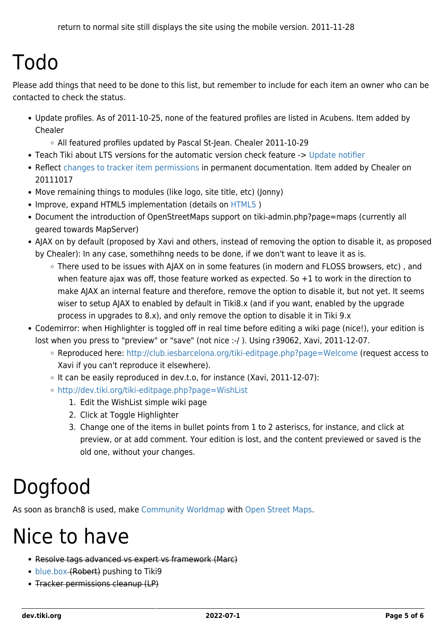### Todo

Please add things that need to be done to this list, but remember to include for each item an owner who can be contacted to check the status.

Update profiles. As of 2011-10-25, none of the featured profiles are listed in Acubens. Item added by Chealer

All featured profiles updated by Pascal St-Jean. Chealer 2011-10-29

- Teach Tiki about LTS versions for the automatic version check feature -> [Update notifier](https://dev.tiki.org/Update-notifier)
- Reflect [changes to tracker item permissions](http://doc.tiki.org/Tiki8#Tracker_Permissions) in permanent documentation. Item added by Chealer on 20111017
- Move remaining things to modules (like logo, site title, etc) (Jonny)
- Improve, expand [HTML5](https://dev.tiki.org/HTML5) implementation (details on HTML5)
- Document the introduction of OpenStreetMaps support on tiki-admin.php?page=maps (currently all geared towards MapServer)
- AJAX on by default (proposed by Xavi and others, instead of removing the option to disable it, as proposed by Chealer): In any case, somethihng needs to be done, if we don't want to leave it as is.
	- There used to be issues with AJAX on in some features (in modern and FLOSS browsers, etc) , and when feature ajax was off, those feature worked as expected. So +1 to work in the direction to make AJAX an internal feature and therefore, remove the option to disable it, but not yet. It seems wiser to setup AJAX to enabled by default in Tiki8.x (and if you want, enabled by the upgrade process in upgrades to 8.x), and only remove the option to disable it in Tiki 9.x
- Codemirror: when Highlighter is toggled off in real time before editing a wiki page (nice!), your edition is lost when you press to "preview" or "save" (not nice :-/ ). Using r39062, Xavi, 2011-12-07.
	- Reproduced here: <http://club.iesbarcelona.org/tiki-editpage.php?page=Welcome>(request access to Xavi if you can't reproduce it elsewhere).
	- $\circ$  It can be easily reproduced in dev.t.o, for instance (Xavi, 2011-12-07):
	- <http://dev.tiki.org/tiki-editpage.php?page=WishList>
		- 1. Edit the WishList simple wiki page
		- 2. Click at Toggle Highlighter
		- 3. Change one of the items in bullet points from 1 to 2 asteriscs, for instance, and click at preview, or at add comment. Your edition is lost, and the content previewed or saved is the old one, without your changes.

## Dogfood

As soon as branch8 is used, make [Community Worldmap](http://tiki.org/Community%20Worldmap) with [Open Street Maps.](http://doc.tiki.org/Open%20Street%20Maps)

### Nice to have

- Resolve tags advanced vs expert vs framework (Marc)
- [blue.box](https://dev.tiki.org/blue.box) (Robert) pushing to Tiki9
- Tracker permissions cleanup (LP)